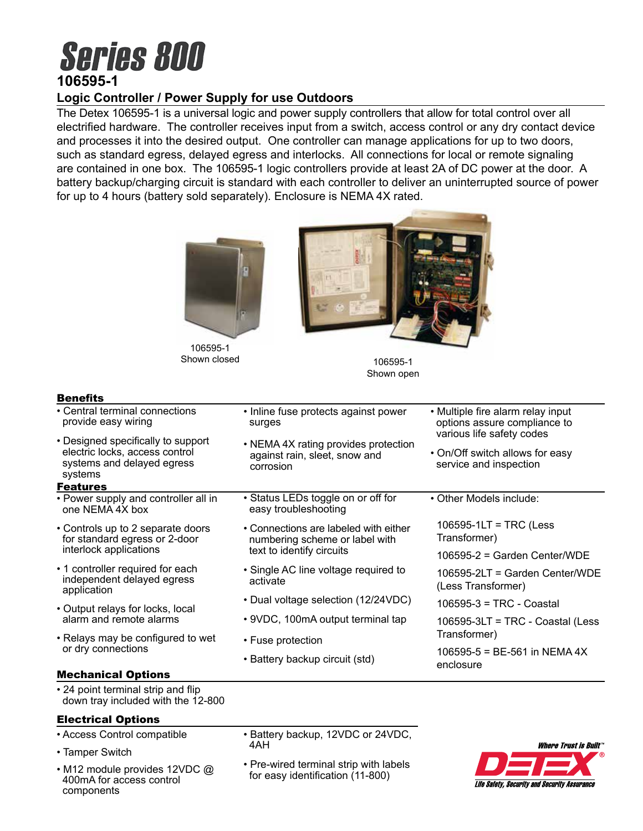# **Series 800 106595-1**

# **Logic Controller / Power Supply for use Outdoors**

The Detex 106595-1 is a universal logic and power supply controllers that allow for total control over all electrified hardware. The controller receives input from a switch, access control or any dry contact device and processes it into the desired output. One controller can manage applications for up to two doors, such as standard egress, delayed egress and interlocks. All connections for local or remote signaling are contained in one box. The 106595-1 logic controllers provide at least 2A of DC power at the door. A battery backup/charging circuit is standard with each controller to deliver an uninterrupted source of power for up to 4 hours (battery sold separately). Enclosure is NEMA 4X rated.



106595-1 Shown closed and the 106595-1



Shown open

# Benefits

| <b>Benefits</b>                                                                                               |                                                                                                      |                                                                                                |
|---------------------------------------------------------------------------------------------------------------|------------------------------------------------------------------------------------------------------|------------------------------------------------------------------------------------------------|
| • Central terminal connections<br>provide easy wiring                                                         | • Inline fuse protects against power<br>surges                                                       | • Multiple fire alarm relay input<br>options assure compliance to<br>various life safety codes |
| • Designed specifically to support<br>electric locks, access control<br>systems and delayed egress<br>systems | • NEMA 4X rating provides protection<br>against rain, sleet, snow and<br>corrosion                   | • On/Off switch allows for easy<br>service and inspection                                      |
| <b>Features</b>                                                                                               |                                                                                                      |                                                                                                |
| • Power supply and controller all in<br>one NEMA 4X box                                                       | • Status LEDs toggle on or off for<br>easy troubleshooting                                           | • Other Models include:                                                                        |
| • Controls up to 2 separate doors<br>for standard egress or 2-door<br>interlock applications                  | • Connections are labeled with either<br>numbering scheme or label with<br>text to identify circuits | $106595-1LT = TRC$ (Less<br>Transformer)                                                       |
|                                                                                                               |                                                                                                      | $106595-2$ = Garden Center/WDE                                                                 |
| • 1 controller required for each<br>independent delayed egress<br>application                                 | • Single AC line voltage required to<br>activate                                                     | 106595-2LT = Garden Center/WDE<br>(Less Transformer)                                           |
| • Output relays for locks, local<br>alarm and remote alarms                                                   | • Dual voltage selection (12/24VDC)                                                                  | $106595-3 = TRC - Coastal$                                                                     |
|                                                                                                               | • 9VDC, 100mA output terminal tap                                                                    | $106595-3LT = TRC - Coastal (Less$                                                             |
| • Relays may be configured to wet<br>or dry connections                                                       | • Fuse protection                                                                                    | Transformer)                                                                                   |
|                                                                                                               | • Battery backup circuit (std)                                                                       | $106595 - 5 = BE-561$ in NEMA 4X<br>enclosure                                                  |
| <b>Mechanical Options</b>                                                                                     |                                                                                                      |                                                                                                |
| • 24 point terminal strip and flip<br>down tray included with the 12-800                                      |                                                                                                      |                                                                                                |

- Electrical Options
- Access Control compatible
- Tamper Switch
- M12 module provides 12VDC @ 400mA for access control components
- Battery backup, 12VDC or 24VDC, 4AH
- Pre-wired terminal strip with labels for easy identification (11-800)